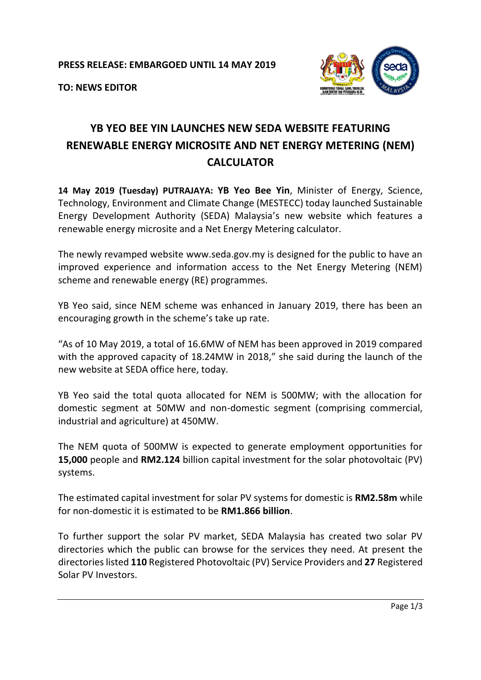

**TO: NEWS EDITOR**

## **YB YEO BEE YIN LAUNCHES NEW SEDA WEBSITE FEATURING RENEWABLE ENERGY MICROSITE AND NET ENERGY METERING (NEM) CALCULATOR**

**14 May 2019 (Tuesday) PUTRAJAYA: YB Yeo Bee Yin**, Minister of Energy, Science, Technology, Environment and Climate Change (MESTECC) today launched Sustainable Energy Development Authority (SEDA) Malaysia's new website which features a renewable energy microsite and a Net Energy Metering calculator.

The newly revamped website [www.seda.gov.my](http://www.seda.gov.my/) is designed for the public to have an improved experience and information access to the Net Energy Metering (NEM) scheme and renewable energy (RE) programmes.

YB Yeo said, since NEM scheme was enhanced in January 2019, there has been an encouraging growth in the scheme's take up rate.

"As of 10 May 2019, a total of 16.6MW of NEM has been approved in 2019 compared with the approved capacity of 18.24MW in 2018," she said during the launch of the new website at SEDA office here, today.

YB Yeo said the total quota allocated for NEM is 500MW; with the allocation for domestic segment at 50MW and non-domestic segment (comprising commercial, industrial and agriculture) at 450MW.

The NEM quota of 500MW is expected to generate employment opportunities for **15,000** people and **RM2.124** billion capital investment for the solar photovoltaic (PV) systems.

The estimated capital investment for solar PV systems for domestic is **RM2.58m** while for non-domestic it is estimated to be **RM1.866 billion**.

To further support the solar PV market, SEDA Malaysia has created two solar PV directories which the public can browse for the services they need. At present the directorieslisted **110** Registered Photovoltaic (PV) Service Providers and **27** Registered Solar PV Investors.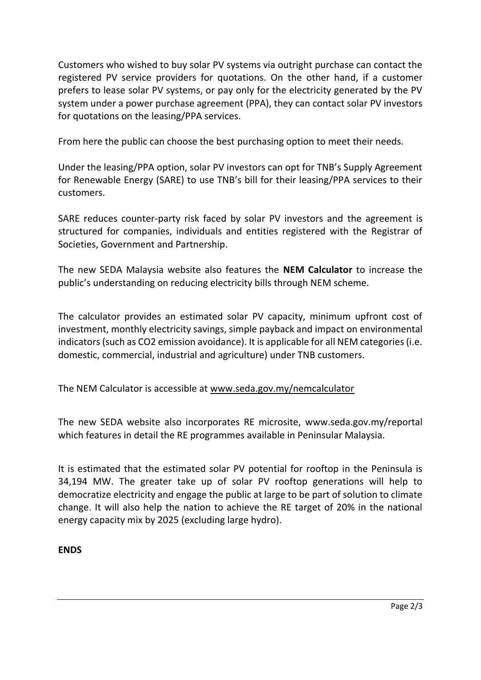Customers who wished to buy solar PV systems via outright purchase can contact the registered PV service providers for quotations. On the other hand, if a customer prefers to lease solar PV systems, or pay only for the electricity generated by the PV system under a power purchase agreement (PPA), they can contact solar PV investors for quotations on the leasing/PPA services.

From here the public can choose the best purchasing option to meet their needs.

Under the leasing/PPA option, solar PV investors can opt for TNB's Supply Agreement for Renewable Energy (SARE) to use TNB's bill for their leasing/PPA services to their customers.

SARE reduces counter-party risk faced by solar PV investors and the agreement is structured for companies, individuals and entities registered with the Registrar of Societies, Government and Partnership.

The new SEDA Malaysia website also features the **NEM Calculator** to increase the public's understanding on reducing electricity bills through NEM scheme.

The calculator provides an estimated solar PV capacity, minimum upfront cost of investment, monthly electricity savings, simple payback and impact on environmental indicators (such as CO2 emission avoidance). It is applicable for all NEM categories (i.e. domestic, commercial, industrial and agriculture) under TNB customers.

The NEM Calculator is accessible at [www.seda.gov.my/nemcalculator](http://www.seda.gov.my/nemcalculator)

The new SEDA website also incorporates RE microsite, [www.seda.gov.my/reportal](http://www.seda.gov.my/reportal) which features in detail the RE programmes available in Peninsular Malaysia.

It is estimated that the estimated solar PV potential for rooftop in the Peninsula is 34,194 MW. The greater take up of solar PV rooftop generations will help to democratize electricity and engage the public at large to be part of solution to climate change. It will also help the nation to achieve the RE target of 20% in the national energy capacity mix by 2025 (excluding large hydro).

## **ENDS**